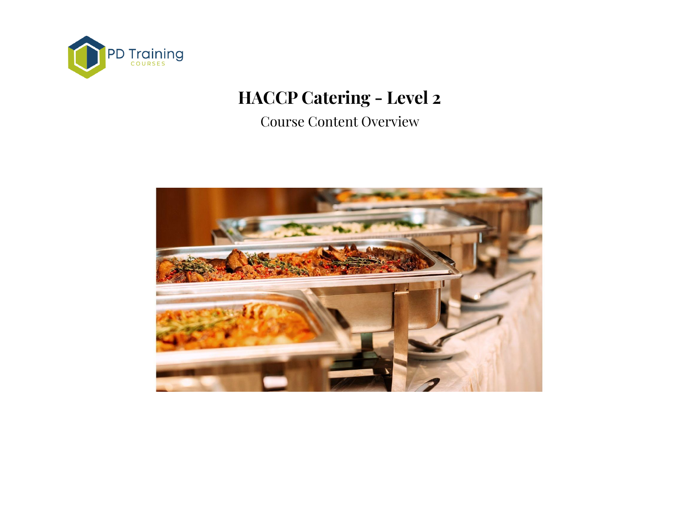

# **HACCP Catering - Level 2**

Course Content Overview

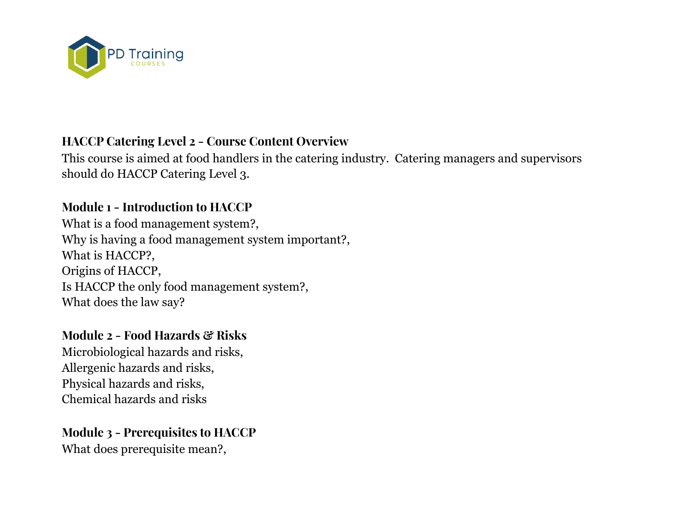

## **HACCP Catering Level 2 - Course Content Overview**

This course is aimed at food handlers in the catering industry. Catering managers and supervisors should do HACCP Catering Level 3.

### **Module 1 - Introduction to HACCP**

What is a food management system?, Why is having a food management system important?, What is HACCP?, Origins of HACCP, Is HACCP the only food management system?, What does the law say?

#### **Module 2 - Food Hazards & Risks**

Microbiological hazards and risks, Allergenic hazards and risks, Physical hazards and risks, Chemical hazards and risks

**Module 3 - Prerequisites to HACCP** What does prerequisite mean?,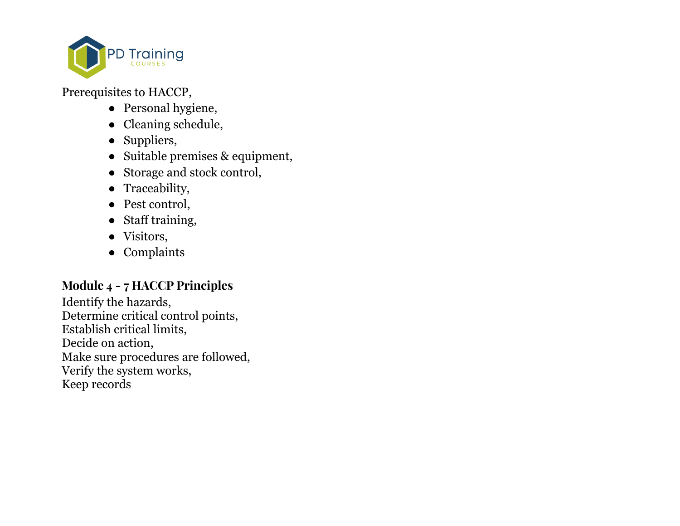

Prerequisites to HACCP,

- Personal hygiene,
- Cleaning schedule,
- Suppliers,
- Suitable premises & equipment,
- Storage and stock control,
- Traceability,
- Pest control,
- Staff training,
- Visitors,
- Complaints

#### **Module 4 - 7 HACCP Principles**

Identify the hazards, Determine critical control points, Establish critical limits, Decide on action, Make sure procedures are followed, Verify the system works, Keep records